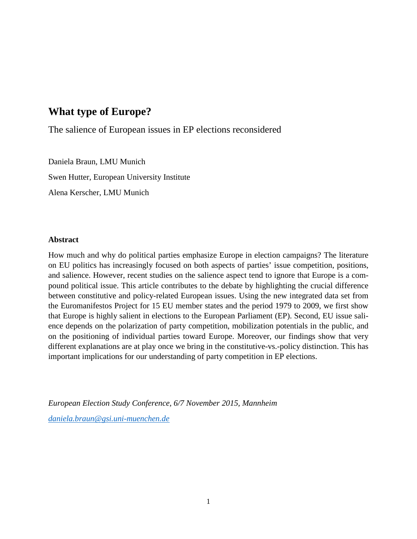# **What type of Europe?**

The salience of European issues in EP elections reconsidered

Daniela Braun, LMU Munich Swen Hutter, European University Institute Alena Kerscher, LMU Munich

## **Abstract**

How much and why do political parties emphasize Europe in election campaigns? The literature on EU politics has increasingly focused on both aspects of parties' issue competition, positions, and salience. However, recent studies on the salience aspect tend to ignore that Europe is a compound political issue. This article contributes to the debate by highlighting the crucial difference between constitutive and policy-related European issues. Using the new integrated data set from the Euromanifestos Project for 15 EU member states and the period 1979 to 2009, we first show that Europe is highly salient in elections to the European Parliament (EP). Second, EU issue salience depends on the polarization of party competition, mobilization potentials in the public, and on the positioning of individual parties toward Europe. Moreover, our findings show that very different explanations are at play once we bring in the constitutive-vs.-policy distinction. This has important implications for our understanding of party competition in EP elections.

*European Election Study Conference, 6/7 November 2015, Mannheim [daniela.braun@gsi.uni-muenchen.de](mailto:daniela.braun@gsi.uni-muenchen.de)*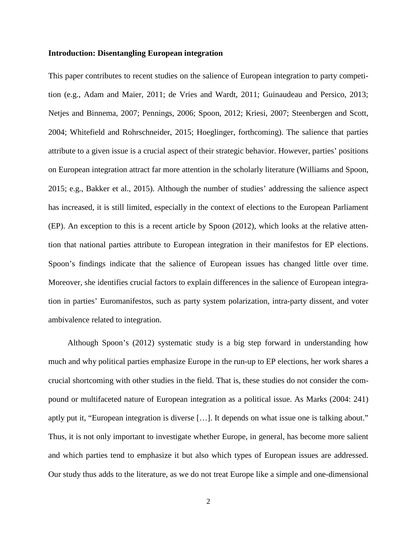#### **Introduction: Disentangling European integration**

This paper contributes to recent studies on the salience of European integration to party competition (e.g., Adam and Maier, 2011; de Vries and Wardt, 2011; Guinaudeau and Persico, 2013; Netjes and Binnema, 2007; Pennings, 2006; Spoon, 2012; Kriesi, 2007; Steenbergen and Scott, 2004; Whitefield and Rohrschneider, 2015; Hoeglinger, forthcoming). The salience that parties attribute to a given issue is a crucial aspect of their strategic behavior. However, parties' positions on European integration attract far more attention in the scholarly literature (Williams and Spoon, 2015; e.g., Bakker et al., 2015). Although the number of studies' addressing the salience aspect has increased, it is still limited, especially in the context of elections to the European Parliament (EP). An exception to this is a recent article by Spoon (2012), which looks at the relative attention that national parties attribute to European integration in their manifestos for EP elections. Spoon's findings indicate that the salience of European issues has changed little over time. Moreover, she identifies crucial factors to explain differences in the salience of European integration in parties' Euromanifestos, such as party system polarization, intra-party dissent, and voter ambivalence related to integration.

Although Spoon's (2012) systematic study is a big step forward in understanding how much and why political parties emphasize Europe in the run-up to EP elections, her work shares a crucial shortcoming with other studies in the field. That is, these studies do not consider the compound or multifaceted nature of European integration as a political issue. As Marks (2004: 241) aptly put it, "European integration is diverse […]. It depends on what issue one is talking about." Thus, it is not only important to investigate whether Europe, in general, has become more salient and which parties tend to emphasize it but also which types of European issues are addressed. Our study thus adds to the literature, as we do not treat Europe like a simple and one-dimensional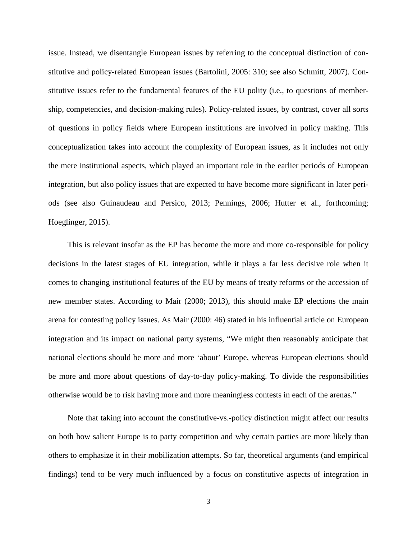issue. Instead, we disentangle European issues by referring to the conceptual distinction of constitutive and policy-related European issues (Bartolini, 2005: 310; see also Schmitt, 2007). Constitutive issues refer to the fundamental features of the EU polity (i.e., to questions of membership, competencies, and decision-making rules). Policy-related issues, by contrast, cover all sorts of questions in policy fields where European institutions are involved in policy making. This conceptualization takes into account the complexity of European issues, as it includes not only the mere institutional aspects, which played an important role in the earlier periods of European integration, but also policy issues that are expected to have become more significant in later periods (see also Guinaudeau and Persico, 2013; Pennings, 2006; Hutter et al., forthcoming; Hoeglinger, 2015).

This is relevant insofar as the EP has become the more and more co-responsible for policy decisions in the latest stages of EU integration, while it plays a far less decisive role when it comes to changing institutional features of the EU by means of treaty reforms or the accession of new member states. According to Mair (2000; 2013), this should make EP elections the main arena for contesting policy issues. As Mair (2000: 46) stated in his influential article on European integration and its impact on national party systems, "We might then reasonably anticipate that national elections should be more and more 'about' Europe, whereas European elections should be more and more about questions of day-to-day policy-making. To divide the responsibilities otherwise would be to risk having more and more meaningless contests in each of the arenas."

Note that taking into account the constitutive-vs.-policy distinction might affect our results on both how salient Europe is to party competition and why certain parties are more likely than others to emphasize it in their mobilization attempts. So far, theoretical arguments (and empirical findings) tend to be very much influenced by a focus on constitutive aspects of integration in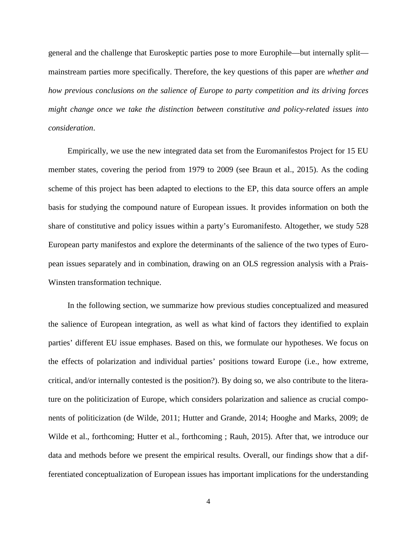general and the challenge that Euroskeptic parties pose to more Europhile—but internally split mainstream parties more specifically. Therefore, the key questions of this paper are *whether and how previous conclusions on the salience of Europe to party competition and its driving forces might change once we take the distinction between constitutive and policy-related issues into consideration*.

Empirically, we use the new integrated data set from the Euromanifestos Project for 15 EU member states, covering the period from 1979 to 2009 (see Braun et al., 2015). As the coding scheme of this project has been adapted to elections to the EP, this data source offers an ample basis for studying the compound nature of European issues. It provides information on both the share of constitutive and policy issues within a party's Euromanifesto. Altogether, we study 528 European party manifestos and explore the determinants of the salience of the two types of European issues separately and in combination, drawing on an OLS regression analysis with a Prais-Winsten transformation technique.

In the following section, we summarize how previous studies conceptualized and measured the salience of European integration, as well as what kind of factors they identified to explain parties' different EU issue emphases. Based on this, we formulate our hypotheses. We focus on the effects of polarization and individual parties' positions toward Europe (i.e., how extreme, critical, and/or internally contested is the position?). By doing so, we also contribute to the literature on the politicization of Europe, which considers polarization and salience as crucial components of politicization (de Wilde, 2011; Hutter and Grande, 2014; Hooghe and Marks, 2009; de Wilde et al., forthcoming; Hutter et al., forthcoming ; Rauh, 2015). After that, we introduce our data and methods before we present the empirical results. Overall, our findings show that a differentiated conceptualization of European issues has important implications for the understanding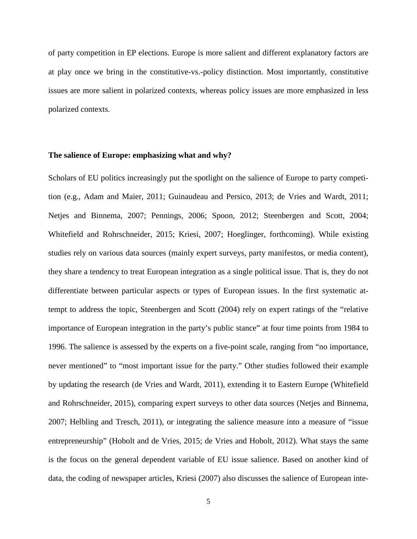of party competition in EP elections. Europe is more salient and different explanatory factors are at play once we bring in the constitutive-vs.-policy distinction. Most importantly, constitutive issues are more salient in polarized contexts, whereas policy issues are more emphasized in less polarized contexts.

#### **The salience of Europe: emphasizing what and why?**

Scholars of EU politics increasingly put the spotlight on the salience of Europe to party competition (e.g., Adam and Maier, 2011; Guinaudeau and Persico, 2013; de Vries and Wardt, 2011; Netjes and Binnema, 2007; Pennings, 2006; Spoon, 2012; Steenbergen and Scott, 2004; Whitefield and Rohrschneider, 2015; Kriesi, 2007; Hoeglinger, forthcoming). While existing studies rely on various data sources (mainly expert surveys, party manifestos, or media content), they share a tendency to treat European integration as a single political issue. That is, they do not differentiate between particular aspects or types of European issues. In the first systematic attempt to address the topic, Steenbergen and Scott (2004) rely on expert ratings of the "relative importance of European integration in the party's public stance" at four time points from 1984 to 1996. The salience is assessed by the experts on a five-point scale, ranging from "no importance, never mentioned" to "most important issue for the party." Other studies followed their example by updating the research (de Vries and Wardt, 2011), extending it to Eastern Europe (Whitefield and Rohrschneider, 2015), comparing expert surveys to other data sources (Netjes and Binnema, 2007; Helbling and Tresch, 2011), or integrating the salience measure into a measure of "issue entrepreneurship" (Hobolt and de Vries, 2015; de Vries and Hobolt, 2012). What stays the same is the focus on the general dependent variable of EU issue salience. Based on another kind of data, the coding of newspaper articles, Kriesi (2007) also discusses the salience of European inte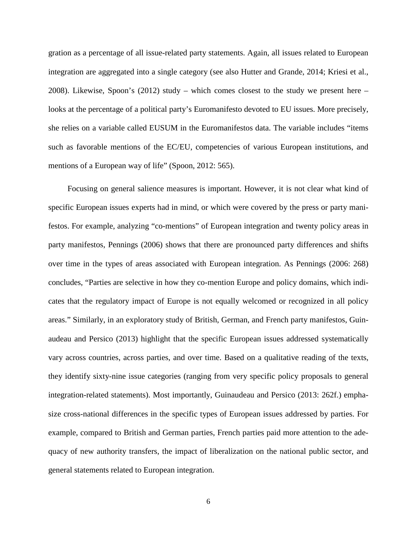gration as a percentage of all issue-related party statements. Again, all issues related to European integration are aggregated into a single category (see also Hutter and Grande, 2014; Kriesi et al., 2008). Likewise, Spoon's (2012) study – which comes closest to the study we present here – looks at the percentage of a political party's Euromanifesto devoted to EU issues. More precisely, she relies on a variable called EUSUM in the Euromanifestos data. The variable includes "items such as favorable mentions of the EC/EU, competencies of various European institutions, and mentions of a European way of life" (Spoon, 2012: 565).

Focusing on general salience measures is important. However, it is not clear what kind of specific European issues experts had in mind, or which were covered by the press or party manifestos. For example, analyzing "co-mentions" of European integration and twenty policy areas in party manifestos, Pennings (2006) shows that there are pronounced party differences and shifts over time in the types of areas associated with European integration. As Pennings (2006: 268) concludes, "Parties are selective in how they co-mention Europe and policy domains, which indicates that the regulatory impact of Europe is not equally welcomed or recognized in all policy areas." Similarly, in an exploratory study of British, German, and French party manifestos, Guinaudeau and Persico (2013) highlight that the specific European issues addressed systematically vary across countries, across parties, and over time. Based on a qualitative reading of the texts, they identify sixty-nine issue categories (ranging from very specific policy proposals to general integration-related statements). Most importantly, Guinaudeau and Persico (2013: 262f.) emphasize cross-national differences in the specific types of European issues addressed by parties. For example, compared to British and German parties, French parties paid more attention to the adequacy of new authority transfers, the impact of liberalization on the national public sector, and general statements related to European integration.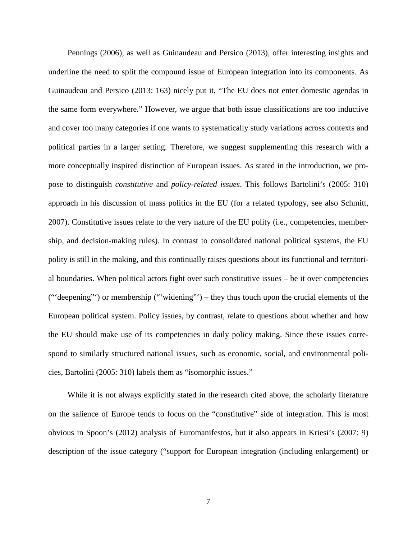Pennings (2006), as well as Guinaudeau and Persico (2013), offer interesting insights and underline the need to split the compound issue of European integration into its components. As Guinaudeau and Persico (2013: 163) nicely put it, "The EU does not enter domestic agendas in the same form everywhere." However, we argue that both issue classifications are too inductive and cover too many categories if one wants to systematically study variations across contexts and political parties in a larger setting. Therefore, we suggest supplementing this research with a more conceptually inspired distinction of European issues. As stated in the introduction, we propose to distinguish *constitutive* and *policy-related issues*. This follows Bartolini's (2005: 310) approach in his discussion of mass politics in the EU (for a related typology, see also Schmitt, 2007). Constitutive issues relate to the very nature of the EU polity (i.e., competencies, membership, and decision-making rules). In contrast to consolidated national political systems, the EU polity is still in the making, and this continually raises questions about its functional and territorial boundaries. When political actors fight over such constitutive issues – be it over competencies ("'deepening"') or membership ("'widening"') – they thus touch upon the crucial elements of the European political system. Policy issues, by contrast, relate to questions about whether and how the EU should make use of its competencies in daily policy making. Since these issues correspond to similarly structured national issues, such as economic, social, and environmental policies, Bartolini (2005: 310) labels them as "isomorphic issues."

While it is not always explicitly stated in the research cited above, the scholarly literature on the salience of Europe tends to focus on the "constitutive" side of integration. This is most obvious in Spoon's (2012) analysis of Euromanifestos, but it also appears in Kriesi's (2007: 9) description of the issue category ("support for European integration (including enlargement) or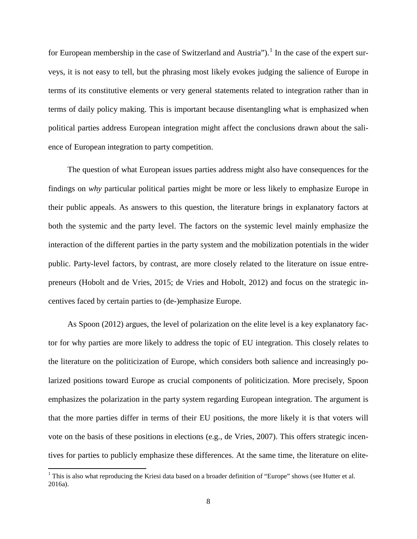for European membership in the case of Switzerland and Austria").<sup>[1](#page-7-0)</sup> In the case of the expert surveys, it is not easy to tell, but the phrasing most likely evokes judging the salience of Europe in terms of its constitutive elements or very general statements related to integration rather than in terms of daily policy making. This is important because disentangling what is emphasized when political parties address European integration might affect the conclusions drawn about the salience of European integration to party competition.

The question of what European issues parties address might also have consequences for the findings on *why* particular political parties might be more or less likely to emphasize Europe in their public appeals. As answers to this question, the literature brings in explanatory factors at both the systemic and the party level. The factors on the systemic level mainly emphasize the interaction of the different parties in the party system and the mobilization potentials in the wider public. Party-level factors, by contrast, are more closely related to the literature on issue entrepreneurs (Hobolt and de Vries, 2015; de Vries and Hobolt, 2012) and focus on the strategic incentives faced by certain parties to (de-)emphasize Europe.

As Spoon (2012) argues, the level of polarization on the elite level is a key explanatory factor for why parties are more likely to address the topic of EU integration. This closely relates to the literature on the politicization of Europe, which considers both salience and increasingly polarized positions toward Europe as crucial components of politicization. More precisely, Spoon emphasizes the polarization in the party system regarding European integration. The argument is that the more parties differ in terms of their EU positions, the more likely it is that voters will vote on the basis of these positions in elections (e.g., de Vries, 2007). This offers strategic incentives for parties to publicly emphasize these differences. At the same time, the literature on elite-

<span id="page-7-0"></span><sup>&</sup>lt;sup>1</sup> This is also what reproducing the Kriesi data based on a broader definition of "Europe" shows (see Hutter et al. 2016a).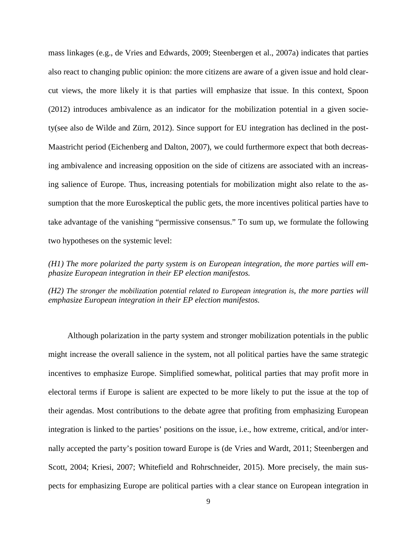mass linkages (e.g., de Vries and Edwards, 2009; Steenbergen et al., 2007a) indicates that parties also react to changing public opinion: the more citizens are aware of a given issue and hold clearcut views, the more likely it is that parties will emphasize that issue. In this context, Spoon (2012) introduces ambivalence as an indicator for the mobilization potential in a given society(see also de Wilde and Zürn, 2012). Since support for EU integration has declined in the post-Maastricht period (Eichenberg and Dalton, 2007), we could furthermore expect that both decreasing ambivalence and increasing opposition on the side of citizens are associated with an increasing salience of Europe. Thus, increasing potentials for mobilization might also relate to the assumption that the more Euroskeptical the public gets, the more incentives political parties have to take advantage of the vanishing "permissive consensus." To sum up, we formulate the following two hypotheses on the systemic level:

*(H1) The more polarized the party system is on European integration, the more parties will emphasize European integration in their EP election manifestos.*

*(H2) The stronger the mobilization potential related to European integration is, the more parties will emphasize European integration in their EP election manifestos.*

Although polarization in the party system and stronger mobilization potentials in the public might increase the overall salience in the system, not all political parties have the same strategic incentives to emphasize Europe. Simplified somewhat, political parties that may profit more in electoral terms if Europe is salient are expected to be more likely to put the issue at the top of their agendas. Most contributions to the debate agree that profiting from emphasizing European integration is linked to the parties' positions on the issue, i.e., how extreme, critical, and/or internally accepted the party's position toward Europe is (de Vries and Wardt, 2011; Steenbergen and Scott, 2004; Kriesi, 2007; Whitefield and Rohrschneider, 2015). More precisely, the main suspects for emphasizing Europe are political parties with a clear stance on European integration in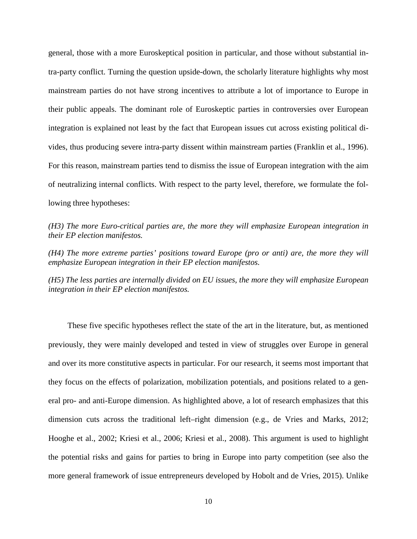general, those with a more Euroskeptical position in particular, and those without substantial intra-party conflict. Turning the question upside-down, the scholarly literature highlights why most mainstream parties do not have strong incentives to attribute a lot of importance to Europe in their public appeals. The dominant role of Euroskeptic parties in controversies over European integration is explained not least by the fact that European issues cut across existing political divides, thus producing severe intra-party dissent within mainstream parties (Franklin et al., 1996). For this reason, mainstream parties tend to dismiss the issue of European integration with the aim of neutralizing internal conflicts. With respect to the party level, therefore, we formulate the following three hypotheses:

*(H3) The more Euro-critical parties are, the more they will emphasize European integration in their EP election manifestos.*

*(H4) The more extreme parties' positions toward Europe (pro or anti) are, the more they will emphasize European integration in their EP election manifestos.*

*(H5) The less parties are internally divided on EU issues, the more they will emphasize European integration in their EP election manifestos.*

These five specific hypotheses reflect the state of the art in the literature, but, as mentioned previously, they were mainly developed and tested in view of struggles over Europe in general and over its more constitutive aspects in particular. For our research, it seems most important that they focus on the effects of polarization, mobilization potentials, and positions related to a general pro- and anti-Europe dimension. As highlighted above, a lot of research emphasizes that this dimension cuts across the traditional left–right dimension (e.g., de Vries and Marks, 2012; Hooghe et al., 2002; Kriesi et al., 2006; Kriesi et al., 2008). This argument is used to highlight the potential risks and gains for parties to bring in Europe into party competition (see also the more general framework of issue entrepreneurs developed by Hobolt and de Vries, 2015). Unlike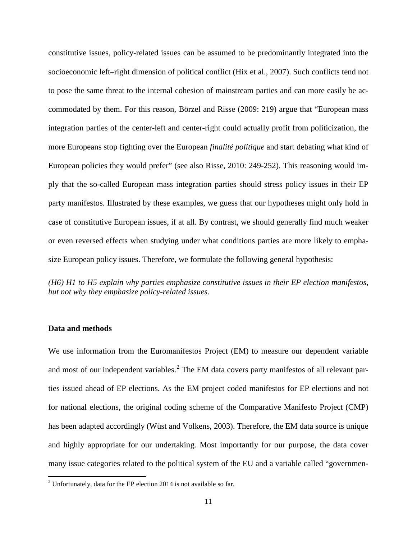constitutive issues, policy-related issues can be assumed to be predominantly integrated into the socioeconomic left–right dimension of political conflict (Hix et al., 2007). Such conflicts tend not to pose the same threat to the internal cohesion of mainstream parties and can more easily be accommodated by them. For this reason, Börzel and Risse (2009: 219) argue that "European mass integration parties of the center-left and center-right could actually profit from politicization, the more Europeans stop fighting over the European *finalité politique* and start debating what kind of European policies they would prefer" (see also Risse, 2010: 249-252). This reasoning would imply that the so-called European mass integration parties should stress policy issues in their EP party manifestos. Illustrated by these examples, we guess that our hypotheses might only hold in case of constitutive European issues, if at all. By contrast, we should generally find much weaker or even reversed effects when studying under what conditions parties are more likely to emphasize European policy issues. Therefore, we formulate the following general hypothesis:

*(H6) H1 to H5 explain why parties emphasize constitutive issues in their EP election manifestos, but not why they emphasize policy-related issues.*

#### **Data and methods**

We use information from the Euromanifestos Project (EM) to measure our dependent variable and most of our independent variables.<sup>[2](#page-10-0)</sup> The EM data covers party manifestos of all relevant parties issued ahead of EP elections. As the EM project coded manifestos for EP elections and not for national elections, the original coding scheme of the Comparative Manifesto Project (CMP) has been adapted accordingly (Wüst and Volkens, 2003). Therefore, the EM data source is unique and highly appropriate for our undertaking. Most importantly for our purpose, the data cover many issue categories related to the political system of the EU and a variable called "governmen-

<span id="page-10-0"></span> $2$  Unfortunately, data for the EP election 2014 is not available so far.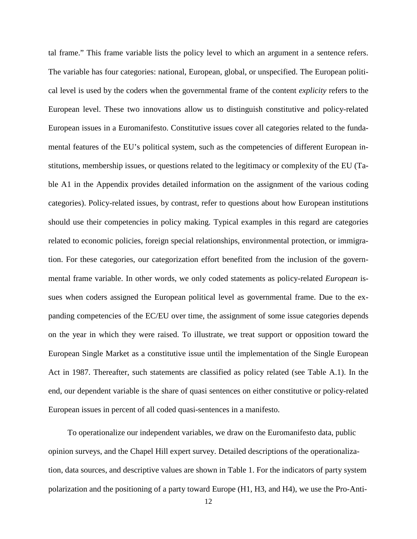tal frame." This frame variable lists the policy level to which an argument in a sentence refers. The variable has four categories: national, European, global, or unspecified. The European political level is used by the coders when the governmental frame of the content *explicity* refers to the European level. These two innovations allow us to distinguish constitutive and policy-related European issues in a Euromanifesto. Constitutive issues cover all categories related to the fundamental features of the EU's political system, such as the competencies of different European institutions, membership issues, or questions related to the legitimacy or complexity of the EU (Table A1 in the Appendix provides detailed information on the assignment of the various coding categories). Policy-related issues, by contrast, refer to questions about how European institutions should use their competencies in policy making. Typical examples in this regard are categories related to economic policies, foreign special relationships, environmental protection, or immigration. For these categories, our categorization effort benefited from the inclusion of the governmental frame variable. In other words, we only coded statements as policy-related *European* issues when coders assigned the European political level as governmental frame. Due to the expanding competencies of the EC/EU over time, the assignment of some issue categories depends on the year in which they were raised. To illustrate, we treat support or opposition toward the European Single Market as a constitutive issue until the implementation of the Single European Act in 1987. Thereafter, such statements are classified as policy related (see Table A.1). In the end, our dependent variable is the share of quasi sentences on either constitutive or policy-related European issues in percent of all coded quasi-sentences in a manifesto.

To operationalize our independent variables, we draw on the Euromanifesto data, public opinion surveys, and the Chapel Hill expert survey. Detailed descriptions of the operationalization, data sources, and descriptive values are shown in Table 1. For the indicators of party system polarization and the positioning of a party toward Europe (H1, H3, and H4), we use the Pro-Anti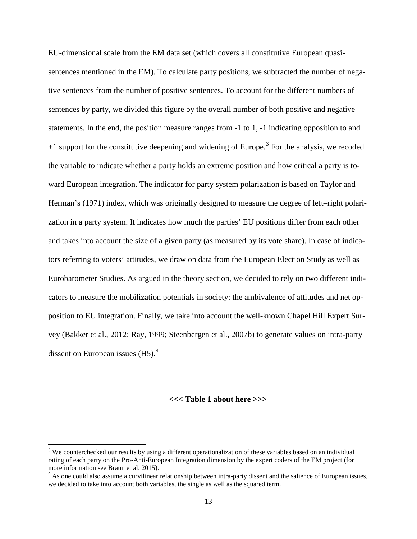EU-dimensional scale from the EM data set (which covers all constitutive European quasisentences mentioned in the EM). To calculate party positions, we subtracted the number of negative sentences from the number of positive sentences. To account for the different numbers of sentences by party, we divided this figure by the overall number of both positive and negative statements. In the end, the position measure ranges from -1 to 1, -1 indicating opposition to and  $+1$  support for the constitutive deepening and widening of Europe.<sup>[3](#page-12-0)</sup> For the analysis, we recoded the variable to indicate whether a party holds an extreme position and how critical a party is toward European integration. The indicator for party system polarization is based on Taylor and Herman's (1971) index, which was originally designed to measure the degree of left–right polarization in a party system. It indicates how much the parties' EU positions differ from each other and takes into account the size of a given party (as measured by its vote share). In case of indicators referring to voters' attitudes, we draw on data from the European Election Study as well as Eurobarometer Studies. As argued in the theory section, we decided to rely on two different indicators to measure the mobilization potentials in society: the ambivalence of attitudes and net opposition to EU integration. Finally, we take into account the well-known Chapel Hill Expert Survey (Bakker et al., 2012; Ray, 1999; Steenbergen et al., 2007b) to generate values on intra-party dissent on European issues  $(H5)$ .<sup>[4](#page-12-1)</sup>

#### **<<< Table 1 about here >>>**

<span id="page-12-0"></span><sup>&</sup>lt;sup>3</sup> We counterchecked our results by using a different operationalization of these variables based on an individual rating of each party on the Pro-Anti-European Integration dimension by the expert coders of the EM project (for more information see Braun et al. 2015).

<span id="page-12-1"></span><sup>&</sup>lt;sup>4</sup> As one could also assume a curvilinear relationship between intra-party dissent and the salience of European issues, we decided to take into account both variables, the single as well as the squared term.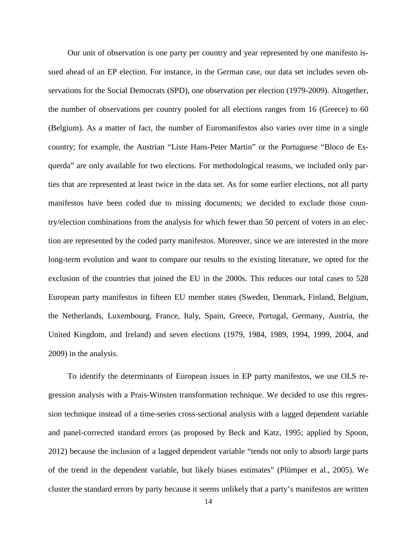Our unit of observation is one party per country and year represented by one manifesto issued ahead of an EP election. For instance, in the German case, our data set includes seven observations for the Social Democrats (SPD), one observation per election (1979-2009). Altogether, the number of observations per country pooled for all elections ranges from 16 (Greece) to 60 (Belgium). As a matter of fact, the number of Euromanifestos also varies over time in a single country; for example, the Austrian "Liste Hans-Peter Martin" or the Portuguese "Bloco de Esquerda" are only available for two elections. For methodological reasons, we included only parties that are represented at least twice in the data set. As for some earlier elections, not all party manifestos have been coded due to missing documents; we decided to exclude those country/election combinations from the analysis for which fewer than 50 percent of voters in an election are represented by the coded party manifestos. Moreover, since we are interested in the more long-term evolution and want to compare our results to the existing literature, we opted for the exclusion of the countries that joined the EU in the 2000s. This reduces our total cases to 528 European party manifestos in fifteen EU member states (Sweden, Denmark, Finland, Belgium, the Netherlands, Luxembourg, France, Italy, Spain, Greece, Portugal, Germany, Austria, the United Kingdom, and Ireland) and seven elections (1979, 1984, 1989, 1994, 1999, 2004, and 2009) in the analysis.

To identify the determinants of European issues in EP party manifestos, we use OLS regression analysis with a Prais-Winsten transformation technique. We decided to use this regression technique instead of a time-series cross-sectional analysis with a lagged dependent variable and panel-corrected standard errors (as proposed by Beck and Katz, 1995; applied by Spoon, 2012) because the inclusion of a lagged dependent variable "tends not only to absorb large parts of the trend in the dependent variable, but likely biases estimates" (Plümper et al., 2005). We cluster the standard errors by party because it seems unlikely that a party's manifestos are written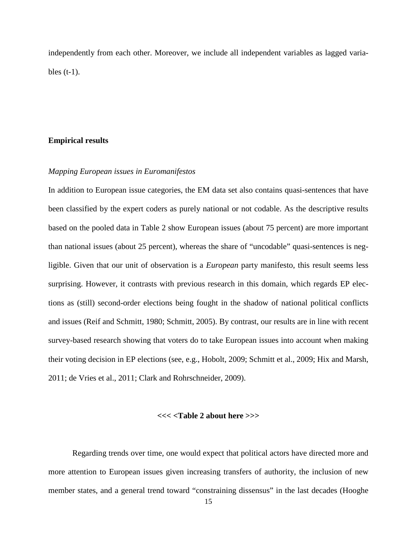independently from each other. Moreover, we include all independent variables as lagged variables  $(t-1)$ .

#### **Empirical results**

#### *Mapping European issues in Euromanifestos*

In addition to European issue categories, the EM data set also contains quasi-sentences that have been classified by the expert coders as purely national or not codable. As the descriptive results based on the pooled data in Table 2 show European issues (about 75 percent) are more important than national issues (about 25 percent), whereas the share of "uncodable" quasi-sentences is negligible. Given that our unit of observation is a *European* party manifesto, this result seems less surprising. However, it contrasts with previous research in this domain, which regards EP elections as (still) second-order elections being fought in the shadow of national political conflicts and issues (Reif and Schmitt, 1980; Schmitt, 2005). By contrast, our results are in line with recent survey-based research showing that voters do to take European issues into account when making their voting decision in EP elections (see, e.g., Hobolt, 2009; Schmitt et al., 2009; Hix and Marsh, 2011; de Vries et al., 2011; Clark and Rohrschneider, 2009).

### **<<< <Table 2 about here >>>**

Regarding trends over time, one would expect that political actors have directed more and more attention to European issues given increasing transfers of authority, the inclusion of new member states, and a general trend toward "constraining dissensus" in the last decades (Hooghe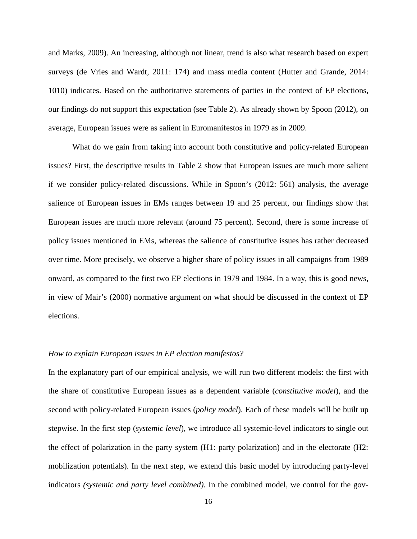and Marks, 2009). An increasing, although not linear, trend is also what research based on expert surveys (de Vries and Wardt, 2011: 174) and mass media content (Hutter and Grande, 2014: 1010) indicates. Based on the authoritative statements of parties in the context of EP elections, our findings do not support this expectation (see Table 2). As already shown by Spoon (2012), on average, European issues were as salient in Euromanifestos in 1979 as in 2009.

What do we gain from taking into account both constitutive and policy-related European issues? First, the descriptive results in Table 2 show that European issues are much more salient if we consider policy-related discussions. While in Spoon's (2012: 561) analysis, the average salience of European issues in EMs ranges between 19 and 25 percent, our findings show that European issues are much more relevant (around 75 percent). Second, there is some increase of policy issues mentioned in EMs, whereas the salience of constitutive issues has rather decreased over time. More precisely, we observe a higher share of policy issues in all campaigns from 1989 onward, as compared to the first two EP elections in 1979 and 1984. In a way, this is good news, in view of Mair's (2000) normative argument on what should be discussed in the context of EP elections.

#### *How to explain European issues in EP election manifestos?*

In the explanatory part of our empirical analysis, we will run two different models: the first with the share of constitutive European issues as a dependent variable (*constitutive model*), and the second with policy-related European issues (*policy model*). Each of these models will be built up stepwise. In the first step (*systemic level*), we introduce all systemic-level indicators to single out the effect of polarization in the party system (H1: party polarization) and in the electorate (H2: mobilization potentials). In the next step, we extend this basic model by introducing party-level indicators *(systemic and party level combined).* In the combined model, we control for the gov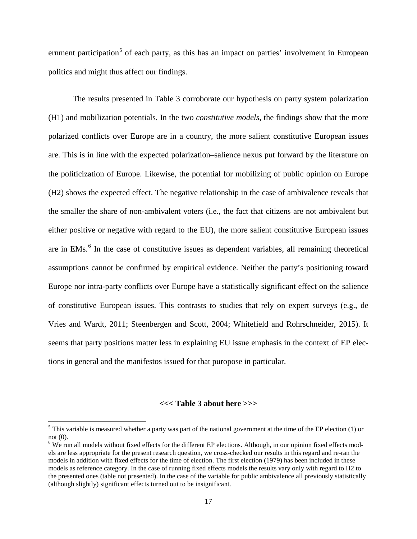ernment participation<sup>[5](#page-16-0)</sup> of each party, as this has an impact on parties' involvement in European politics and might thus affect our findings.

The results presented in Table 3 corroborate our hypothesis on party system polarization (H1) and mobilization potentials. In the two *constitutive models*, the findings show that the more polarized conflicts over Europe are in a country, the more salient constitutive European issues are. This is in line with the expected polarization–salience nexus put forward by the literature on the politicization of Europe. Likewise, the potential for mobilizing of public opinion on Europe (H2) shows the expected effect. The negative relationship in the case of ambivalence reveals that the smaller the share of non-ambivalent voters (i.e., the fact that citizens are not ambivalent but either positive or negative with regard to the EU), the more salient constitutive European issues are in EMs.<sup>[6](#page-16-1)</sup> In the case of constitutive issues as dependent variables, all remaining theoretical assumptions cannot be confirmed by empirical evidence. Neither the party's positioning toward Europe nor intra-party conflicts over Europe have a statistically significant effect on the salience of constitutive European issues. This contrasts to studies that rely on expert surveys (e.g., de Vries and Wardt, 2011; Steenbergen and Scott, 2004; Whitefield and Rohrschneider, 2015). It seems that party positions matter less in explaining EU issue emphasis in the context of EP elections in general and the manifestos issued for that puropose in particular.

## **<<< Table 3 about here >>>**

<span id="page-16-0"></span> $5$  This variable is measured whether a party was part of the national government at the time of the EP election (1) or not (0).

<span id="page-16-1"></span> $6$  We run all models without fixed effects for the different EP elections. Although, in our opinion fixed effects models are less appropriate for the present research question, we cross-checked our results in this regard and re-ran the models in addition with fixed effects for the time of election. The first election (1979) has been included in these models as reference category. In the case of running fixed effects models the results vary only with regard to H2 to the presented ones (table not presented). In the case of the variable for public ambivalence all previously statistically (although slightly) significant effects turned out to be insignificant.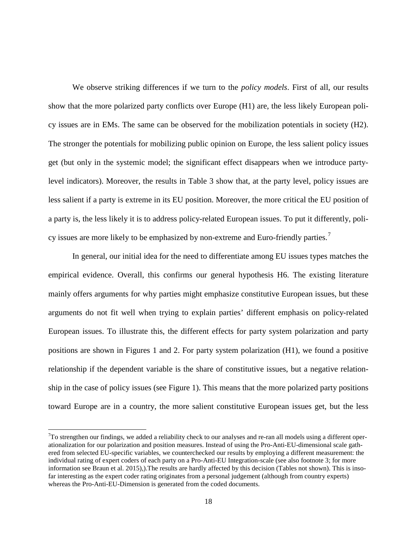We observe striking differences if we turn to the *policy models*. First of all, our results show that the more polarized party conflicts over Europe (H1) are, the less likely European policy issues are in EMs. The same can be observed for the mobilization potentials in society (H2). The stronger the potentials for mobilizing public opinion on Europe, the less salient policy issues get (but only in the systemic model; the significant effect disappears when we introduce partylevel indicators). Moreover, the results in Table 3 show that, at the party level, policy issues are less salient if a party is extreme in its EU position. Moreover, the more critical the EU position of a party is, the less likely it is to address policy-related European issues. To put it differently, poli-cy issues are more likely to be emphasized by non-extreme and Euro-friendly parties.<sup>[7](#page-17-0)</sup>

In general, our initial idea for the need to differentiate among EU issues types matches the empirical evidence. Overall, this confirms our general hypothesis H6. The existing literature mainly offers arguments for why parties might emphasize constitutive European issues, but these arguments do not fit well when trying to explain parties' different emphasis on policy-related European issues. To illustrate this, the different effects for party system polarization and party positions are shown in Figures 1 and 2. For party system polarization (H1), we found a positive relationship if the dependent variable is the share of constitutive issues, but a negative relationship in the case of policy issues (see Figure 1). This means that the more polarized party positions toward Europe are in a country, the more salient constitutive European issues get, but the less

<span id="page-17-0"></span><sup>-&</sup>lt;br>7  $T\tau$  strengthen our findings, we added a reliability check to our analyses and re-ran all models using a different operationalization for our polarization and position measures. Instead of using the Pro-Anti-EU-dimensional scale gathered from selected EU-specific variables, we counterchecked our results by employing a different measurement: the individual rating of expert coders of each party on a Pro-Anti-EU Integration-scale (see also footnote 3; for more information see Braun et al. 2015),).The results are hardly affected by this decision (Tables not shown). This is insofar interesting as the expert coder rating originates from a personal judgement (although from country experts) whereas the Pro-Anti-EU-Dimension is generated from the coded documents.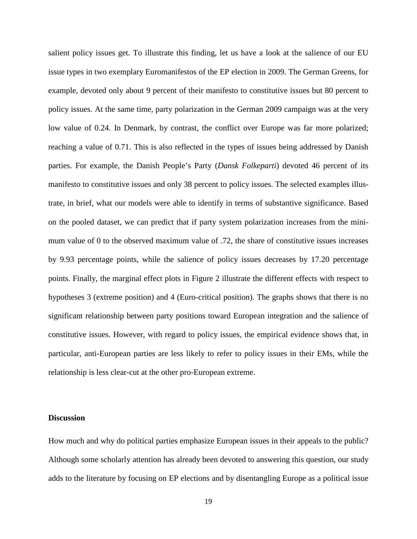salient policy issues get. To illustrate this finding, let us have a look at the salience of our EU issue types in two exemplary Euromanifestos of the EP election in 2009. The German Greens, for example, devoted only about 9 percent of their manifesto to constitutive issues but 80 percent to policy issues. At the same time, party polarization in the German 2009 campaign was at the very low value of 0.24. In Denmark, by contrast, the conflict over Europe was far more polarized; reaching a value of 0.71. This is also reflected in the types of issues being addressed by Danish parties. For example, the Danish People's Party (*Dansk Folkeparti*) devoted 46 percent of its manifesto to constitutive issues and only 38 percent to policy issues. The selected examples illustrate, in brief, what our models were able to identify in terms of substantive significance. Based on the pooled dataset, we can predict that if party system polarization increases from the minimum value of 0 to the observed maximum value of .72, the share of constitutive issues increases by 9.93 percentage points, while the salience of policy issues decreases by 17.20 percentage points. Finally, the marginal effect plots in Figure 2 illustrate the different effects with respect to hypotheses 3 (extreme position) and 4 (Euro-critical position). The graphs shows that there is no significant relationship between party positions toward European integration and the salience of constitutive issues. However, with regard to policy issues, the empirical evidence shows that, in particular, anti-European parties are less likely to refer to policy issues in their EMs, while the relationship is less clear-cut at the other pro-European extreme.

### **Discussion**

How much and why do political parties emphasize European issues in their appeals to the public? Although some scholarly attention has already been devoted to answering this question, our study adds to the literature by focusing on EP elections and by disentangling Europe as a political issue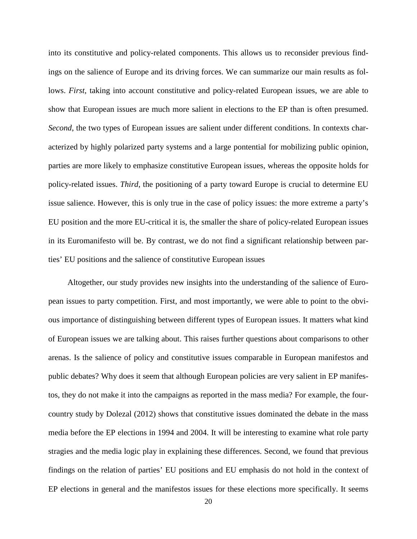into its constitutive and policy-related components. This allows us to reconsider previous findings on the salience of Europe and its driving forces. We can summarize our main results as follows. *First*, taking into account constitutive and policy-related European issues, we are able to show that European issues are much more salient in elections to the EP than is often presumed. *Second*, the two types of European issues are salient under different conditions. In contexts characterized by highly polarized party systems and a large pontential for mobilizing public opinion, parties are more likely to emphasize constitutive European issues, whereas the opposite holds for policy-related issues. *Third*, the positioning of a party toward Europe is crucial to determine EU issue salience. However, this is only true in the case of policy issues: the more extreme a party's EU position and the more EU-critical it is, the smaller the share of policy-related European issues in its Euromanifesto will be. By contrast, we do not find a significant relationship between parties' EU positions and the salience of constitutive European issues

Altogether, our study provides new insights into the understanding of the salience of European issues to party competition. First, and most importantly, we were able to point to the obvious importance of distinguishing between different types of European issues. It matters what kind of European issues we are talking about. This raises further questions about comparisons to other arenas. Is the salience of policy and constitutive issues comparable in European manifestos and public debates? Why does it seem that although European policies are very salient in EP manifestos, they do not make it into the campaigns as reported in the mass media? For example, the fourcountry study by Dolezal (2012) shows that constitutive issues dominated the debate in the mass media before the EP elections in 1994 and 2004. It will be interesting to examine what role party stragies and the media logic play in explaining these differences. Second, we found that previous findings on the relation of parties' EU positions and EU emphasis do not hold in the context of EP elections in general and the manifestos issues for these elections more specifically. It seems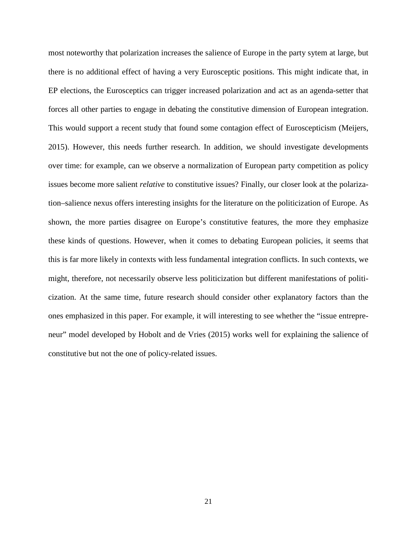most noteworthy that polarization increases the salience of Europe in the party sytem at large, but there is no additional effect of having a very Eurosceptic positions. This might indicate that, in EP elections, the Eurosceptics can trigger increased polarization and act as an agenda-setter that forces all other parties to engage in debating the constitutive dimension of European integration. This would support a recent study that found some contagion effect of Euroscepticism (Meijers, 2015). However, this needs further research. In addition, we should investigate developments over time: for example, can we observe a normalization of European party competition as policy issues become more salient *relative* to constitutive issues? Finally, our closer look at the polarization–salience nexus offers interesting insights for the literature on the politicization of Europe. As shown, the more parties disagree on Europe's constitutive features, the more they emphasize these kinds of questions. However, when it comes to debating European policies, it seems that this is far more likely in contexts with less fundamental integration conflicts. In such contexts, we might, therefore, not necessarily observe less politicization but different manifestations of politicization. At the same time, future research should consider other explanatory factors than the ones emphasized in this paper. For example, it will interesting to see whether the "issue entrepreneur" model developed by Hobolt and de Vries (2015) works well for explaining the salience of constitutive but not the one of policy-related issues.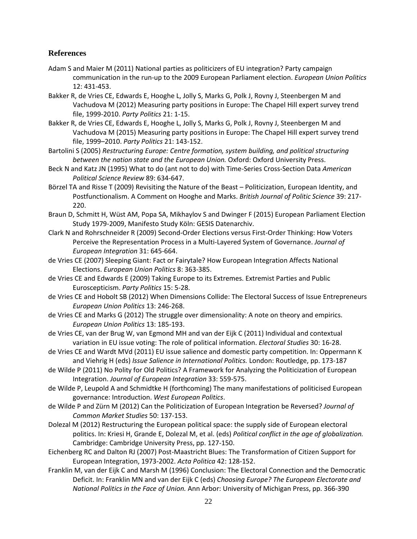# **References**

- Adam S and Maier M (2011) National parties as politicizers of EU integration? Party campaign communication in the run-up to the 2009 European Parliament election. *European Union Politics* 12: 431-453.
- Bakker R, de Vries CE, Edwards E, Hooghe L, Jolly S, Marks G, Polk J, Rovny J, Steenbergen M and Vachudova M (2012) Measuring party positions in Europe: The Chapel Hill expert survey trend file, 1999-2010. *Party Politics* 21: 1-15.
- Bakker R, de Vries CE, Edwards E, Hooghe L, Jolly S, Marks G, Polk J, Rovny J, Steenbergen M and Vachudova M (2015) Measuring party positions in Europe: The Chapel Hill expert survey trend file, 1999–2010. *Party Politics* 21: 143-152.
- Bartolini S (2005) *Restructuring Europe: Centre formation, system building, and political structuring between the nation state and the European Union.* Oxford: Oxford University Press.
- Beck N and Katz JN (1995) What to do (ant not to do) with Time-Series Cross-Section Data *American Political Science Review* 89: 634-647.
- Börzel TA and Risse T (2009) Revisiting the Nature of the Beast Politicization, European Identity, and Postfunctionalism. A Comment on Hooghe and Marks. *British Journal of Politic Science* 39: 217- 220.
- Braun D, Schmitt H, Wüst AM, Popa SA, Mikhaylov S and Dwinger F (2015) European Parliament Election Study 1979-2009, Manifesto Study Köln: GESIS Datenarchiv.
- Clark N and Rohrschneider R (2009) Second-Order Elections versus First-Order Thinking: How Voters Perceive the Representation Process in a Multi-Layered System of Governance. *Journal of European Integration* 31: 645-664.
- de Vries CE (2007) Sleeping Giant: Fact or Fairytale? How European Integration Affects National Elections. *European Union Politics* 8: 363-385.
- de Vries CE and Edwards E (2009) Taking Europe to its Extremes. Extremist Parties and Public Euroscepticism. *Party Politics* 15: 5-28.
- de Vries CE and Hobolt SB (2012) When Dimensions Collide: The Electoral Success of Issue Entrepreneurs *European Union Politics* 13: 246-268.
- de Vries CE and Marks G (2012) The struggle over dimensionality: A note on theory and empirics. *European Union Politics* 13: 185-193.
- de Vries CE, van der Brug W, van Egmond MH and van der Eijk C (2011) Individual and contextual variation in EU issue voting: The role of political information. *Electoral Studies* 30: 16-28.
- de Vries CE and Wardt MVd (2011) EU issue salience and domestic party competition. In: Oppermann K and Viehrig H (eds) *Issue Salience in International Politics.* London: Routledge, pp. 173-187
- de Wilde P (2011) No Polity for Old Politics? A Framework for Analyzing the Politicization of European Integration. *Journal of European Integration* 33: 559-575.
- de Wilde P, Leupold A and Schmidtke H (forthcoming) The many manifestations of politicised European governance: Introduction. *West European Politics*.
- de Wilde P and Zürn M (2012) Can the Politicization of European Integration be Reversed? *Journal of Common Market Studies* 50: 137-153.
- Dolezal M (2012) Restructuring the European political space: the supply side of European electoral politics. In: Kriesi H, Grande E, Dolezal M, et al. (eds) *Political conflict in the age of globalization.* Cambridge: Cambridge University Press, pp. 127-150.
- Eichenberg RC and Dalton RJ (2007) Post-Maastricht Blues: The Transformation of Citizen Support for European Integration, 1973-2002. *Acta Politica* 42: 128-152.
- Franklin M, van der Eijk C and Marsh M (1996) Conclusion: The Electoral Connection and the Democratic Deficit. In: Franklin MN and van der Eijk C (eds) *Choosing Europe? The European Electorate and National Politics in the Face of Union.* Ann Arbor: University of Michigan Press, pp. 366-390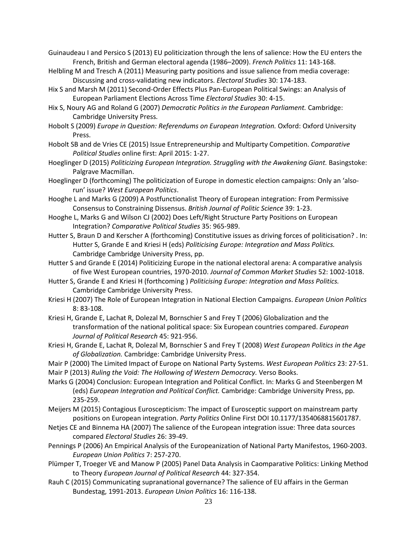Guinaudeau I and Persico S (2013) EU politicization through the lens of salience: How the EU enters the French, British and German electoral agenda (1986–2009). *French Politics* 11: 143-168.

- Helbling M and Tresch A (2011) Measuring party positions and issue salience from media coverage: Discussing and cross-validating new indicators. *Electoral Studies* 30: 174-183.
- Hix S and Marsh M (2011) Second-Order Effects Plus Pan-European Political Swings: an Analysis of European Parliament Elections Across Time *Electoral Studies* 30: 4-15.
- Hix S, Noury AG and Roland G (2007) *Democratic Politics in the European Parliament.* Cambridge: Cambridge University Press.
- Hobolt S (2009) *Europe in Question: Referendums on European Integration.* Oxford: Oxford University Press.
- Hobolt SB and de Vries CE (2015) Issue Entrepreneurship and Multiparty Competition. *Comparative Political Studies* online first: April 2015: 1-27.
- Hoeglinger D (2015) *Politicizing European Integration. Struggling with the Awakening Giant. Basingstoke:* Palgrave Macmillan.
- Hoeglinger D (forthcoming) The politicization of Europe in domestic election campaigns: Only an 'alsorun' issue? *West European Politics*.
- Hooghe L and Marks G (2009) A Postfunctionalist Theory of European integration: From Permissive Consensus to Constraining Dissensus. *British Journal of Politic Science* 39: 1-23.
- Hooghe L, Marks G and Wilson CJ (2002) Does Left/Right Structure Party Positions on European Integration? *Comparative Political Studies* 35: 965-989.
- Hutter S, Braun D and Kerscher A (forthcoming) Constitutive issues as driving forces of politicisation? . In: Hutter S, Grande E and Kriesi H (eds) *Politicising Europe: Integration and Mass Politics.* Cambridge Cambridge University Press, pp.
- Hutter S and Grande E (2014) Politicizing Europe in the national electoral arena: A comparative analysis of five West European countries, 1970-2010. *Journal of Common Market Studies* 52: 1002-1018.
- Hutter S, Grande E and Kriesi H (forthcoming ) *Politicising Europe: Integration and Mass Politics.*  Cambridge Cambridge University Press.
- Kriesi H (2007) The Role of European Integration in National Election Campaigns. *European Union Politics* 8: 83-108.
- Kriesi H, Grande E, Lachat R, Dolezal M, Bornschier S and Frey T (2006) Globalization and the transformation of the national political space: Six European countries compared. *European Journal of Political Research* 45: 921-956.
- Kriesi H, Grande E, Lachat R, Dolezal M, Bornschier S and Frey T (2008) *West European Politics in the Age of Globalization.* Cambridge: Cambridge University Press.
- Mair P (2000) The Limited Impact of Europe on National Party Systems. *West European Politics* 23: 27-51.
- Mair P (2013) *Ruling the Void: The Hollowing of Western Democracy.* Verso Books.
- Marks G (2004) Conclusion: European Integration and Political Conflict. In: Marks G and Steenbergen M (eds) *European Integration and Political Conflict.* Cambridge: Cambridge University Press, pp. 235-259.
- Meijers M (2015) Contagious Euroscepticism: The impact of Eurosceptic support on mainstream party positions on European integration. *Party Politics* Online First DOI 10.1177/1354068815601787.
- Netjes CE and Binnema HA (2007) The salience of the European integration issue: Three data sources compared *Electoral Studies* 26: 39-49.
- Pennings P (2006) An Empirical Analysis of the Europeanization of National Party Manifestos, 1960-2003. *European Union Politics* 7: 257-270.
- Plümper T, Troeger VE and Manow P (2005) Panel Data Analysis in Caomparative Politics: Linking Method to Theory *European Journal of Political Research* 44: 327-354.
- Rauh C (2015) Communicating supranational governance? The salience of EU affairs in the German Bundestag, 1991-2013. *European Union Politics* 16: 116-138.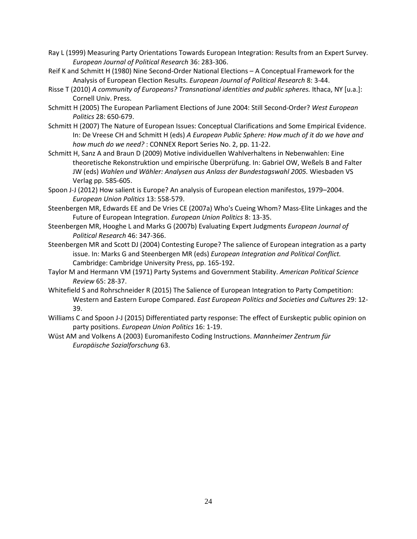- Ray L (1999) Measuring Party Orientations Towards European Integration: Results from an Expert Survey. *European Journal of Political Research* 36: 283-306.
- Reif K and Schmitt H (1980) Nine Second-Order National Elections A Conceptual Framework for the Analysis of European Election Results. *European Journal of Political Research* 8: 3-44.
- Risse T (2010) *A community of Europeans? Transnational identities and public spheres.* Ithaca, NY [u.a.]: Cornell Univ. Press.
- Schmitt H (2005) The European Parliament Elections of June 2004: Still Second-Order? *West European Politics* 28: 650-679.
- Schmitt H (2007) The Nature of European Issues: Conceptual Clarifications and Some Empirical Evidence. In: De Vreese CH and Schmitt H (eds) *A European Public Sphere: How much of it do we have and how much do we need?* : CONNEX Report Series No. 2, pp. 11-22.
- Schmitt H, Sanz A and Braun D (2009) Motive individuellen Wahlverhaltens in Nebenwahlen: Eine theoretische Rekonstruktion und empirische Überprüfung. In: Gabriel OW, Weßels B and Falter JW (eds) *Wahlen und Wähler: Analysen aus Anlass der Bundestagswahl 2005.* Wiesbaden VS Verlag pp. 585-605.
- Spoon J-J (2012) How salient is Europe? An analysis of European election manifestos, 1979–2004. *European Union Politics* 13: 558-579.
- Steenbergen MR, Edwards EE and De Vries CE (2007a) Who's Cueing Whom? Mass-Elite Linkages and the Future of European Integration. *European Union Politics* 8: 13-35.
- Steenbergen MR, Hooghe L and Marks G (2007b) Evaluating Expert Judgments *European Journal of Political Research* 46: 347-366.
- Steenbergen MR and Scott DJ (2004) Contesting Europe? The salience of European integration as a party issue. In: Marks G and Steenbergen MR (eds) *European Integration and Political Conflict.* Cambridge: Cambridge University Press, pp. 165-192.
- Taylor M and Hermann VM (1971) Party Systems and Government Stability. *American Political Science Review* 65: 28-37.
- Whitefield S and Rohrschneider R (2015) The Salience of European Integration to Party Competition: Western and Eastern Europe Compared. *East European Politics and Societies and Cultures* 29: 12- 39.
- Williams C and Spoon J-J (2015) Differentiated party response: The effect of Eurskeptic public opinion on party positions. *European Union Politics* 16: 1-19.
- Wüst AM and Volkens A (2003) Euromanifesto Coding Instructions. *Mannheimer Zentrum für Europäische Sozialforschung* 63.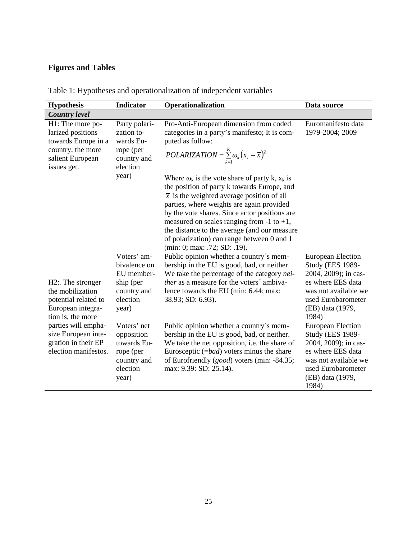# **Figures and Tables**

| <b>Hypothesis</b>                                                                                                    | <b>Indicator</b><br>Operationalization                                                     |                                                                                                                                                                                                                                                                                                                                                                                                                                                                                                                                                                                                                        | Data source                                                                                                                                                                 |  |
|----------------------------------------------------------------------------------------------------------------------|--------------------------------------------------------------------------------------------|------------------------------------------------------------------------------------------------------------------------------------------------------------------------------------------------------------------------------------------------------------------------------------------------------------------------------------------------------------------------------------------------------------------------------------------------------------------------------------------------------------------------------------------------------------------------------------------------------------------------|-----------------------------------------------------------------------------------------------------------------------------------------------------------------------------|--|
| <b>Country level</b>                                                                                                 |                                                                                            |                                                                                                                                                                                                                                                                                                                                                                                                                                                                                                                                                                                                                        |                                                                                                                                                                             |  |
| H1: The more po-<br>larized positions<br>towards Europe in a<br>country, the more<br>salient European<br>issues get. | Party polari-<br>zation to-<br>wards Eu-<br>rope (per<br>country and<br>election<br>year)  | Pro-Anti-European dimension from coded<br>categories in a party's manifesto; It is com-<br>puted as follow:<br>$POLARIZATION = \sum_{k=1}^{K} \omega_k (x_k - \overline{x})^2$<br>Where $\omega_k$ is the vote share of party k, $x_k$ is<br>the position of party k towards Europe, and<br>$\bar{x}$ is the weighted average position of all<br>parties, where weights are again provided<br>by the vote shares. Since actor positions are<br>measured on scales ranging from -1 to +1,<br>the distance to the average (and our measure<br>of polarization) can range between 0 and 1<br>(min: 0; max: .72; SD: .19). | Euromanifesto data<br>1979-2004; 2009                                                                                                                                       |  |
| H2: The stronger<br>the mobilization<br>potential related to<br>European integra-<br>tion is, the more               | Voters' am-<br>bivalence on<br>EU member-<br>ship (per<br>country and<br>election<br>year) | Public opinion whether a country's mem-<br>bership in the EU is good, bad, or neither.<br>We take the percentage of the category nei-<br>ther as a measure for the voters' ambiva-<br>lence towards the EU (min: 6.44; max:<br>38.93; SD: 6.93).                                                                                                                                                                                                                                                                                                                                                                       | <b>European Election</b><br><b>Study (EES 1989-</b><br>2004, 2009); in cas-<br>es where EES data<br>was not available we<br>used Eurobarometer<br>(EB) data (1979,<br>1984) |  |
| parties will empha-<br>size European inte-<br>gration in their EP<br>election manifestos.                            | Voters' net<br>opposition<br>towards Eu-<br>rope (per<br>country and<br>election<br>year)  | Public opinion whether a country's mem-<br>bership in the EU is good, bad, or neither.<br>We take the net opposition, i.e. the share of<br>Eurosceptic $(=bad)$ voters minus the share<br>of Eurofriendly ( <i>good</i> ) voters (min: -84.35;<br>max: 9.39: SD: 25.14).                                                                                                                                                                                                                                                                                                                                               | <b>European Election</b><br><b>Study (EES 1989-</b><br>2004, 2009); in cas-<br>es where EES data<br>was not available we<br>used Eurobarometer<br>(EB) data (1979,<br>1984) |  |

Table 1: Hypotheses and operationalization of independent variables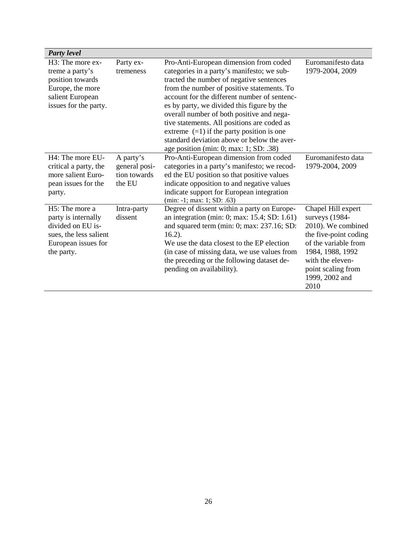| <b>Party level</b>                                                                                                                     |                                                      |                                                                                                                                                                                                                                                                                                                                                                                                                                                                                                                  |                                                                                                                                                                                                     |
|----------------------------------------------------------------------------------------------------------------------------------------|------------------------------------------------------|------------------------------------------------------------------------------------------------------------------------------------------------------------------------------------------------------------------------------------------------------------------------------------------------------------------------------------------------------------------------------------------------------------------------------------------------------------------------------------------------------------------|-----------------------------------------------------------------------------------------------------------------------------------------------------------------------------------------------------|
| H3: The more ex-<br>treme a party's<br>position towards<br>Europe, the more<br>salient European<br>issues for the party.               | Party ex-<br>tremeness                               | Pro-Anti-European dimension from coded<br>categories in a party's manifesto; we sub-<br>tracted the number of negative sentences<br>from the number of positive statements. To<br>account for the different number of sentenc-<br>es by party, we divided this figure by the<br>overall number of both positive and nega-<br>tive statements. All positions are coded as<br>extreme $(=1)$ if the party position is one<br>standard deviation above or below the aver-<br>age position (min: 0; max: 1; SD: .38) | Euromanifesto data<br>1979-2004, 2009                                                                                                                                                               |
| H4: The more EU-<br>critical a party, the<br>more salient Euro-<br>pean issues for the<br>party.                                       | A party's<br>general posi-<br>tion towards<br>the EU | Pro-Anti-European dimension from coded<br>categories in a party's manifesto; we recod-<br>ed the EU position so that positive values<br>indicate opposition to and negative values<br>indicate support for European integration<br>$(min: -1; max: 1; SD: .63)$                                                                                                                                                                                                                                                  | Euromanifesto data<br>1979-2004, 2009                                                                                                                                                               |
| H <sub>5</sub> : The more a<br>party is internally<br>divided on EU is-<br>sues, the less salient<br>European issues for<br>the party. | Intra-party<br>dissent                               | Degree of dissent within a party on Europe-<br>an integration (min: 0; max: 15.4; SD: 1.61)<br>and squared term (min: 0; max: 237.16; SD:<br>$16.2$ ).<br>We use the data closest to the EP election<br>(in case of missing data, we use values from<br>the preceding or the following dataset de-<br>pending on availability).                                                                                                                                                                                  | Chapel Hill expert<br>surveys (1984-<br>2010). We combined<br>the five-point coding<br>of the variable from<br>1984, 1988, 1992<br>with the eleven-<br>point scaling from<br>1999, 2002 and<br>2010 |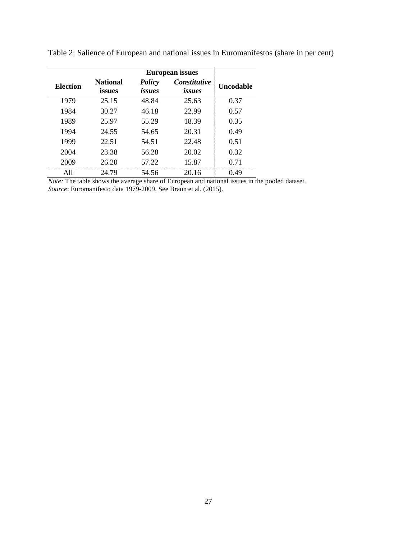|                 | <b>European issues</b>    |                  |                               |                  |
|-----------------|---------------------------|------------------|-------------------------------|------------------|
| <b>Election</b> | <b>National</b><br>issues | Policy<br>issues | <b>Constitutive</b><br>issues | <b>Uncodable</b> |
| 1979            | 25.15                     | 48.84            | 25.63                         | 0.37             |
| 1984            | 30.27                     | 46.18            | 22.99                         | 0.57             |
| 1989            | 25.97                     | 55.29            | 18.39                         | 0.35             |
| 1994            | 24.55                     | 54.65            | 20.31                         | 0.49             |
| 1999            | 22.51                     | 54.51            | 22.48                         | 0.51             |
| 2004            | 23.38                     | 56.28            | 20.02                         | 0.32             |
| 2009            | 26.20                     | 57.22            | 15.87                         | 0.71             |
|                 | 24.79                     | 54.56            | 20.16                         | 0.49             |

Table 2: Salience of European and national issues in Euromanifestos (share in per cent)

*Note:* The table shows the average share of European and national issues in the pooled dataset. *Source*: Euromanifesto data 1979-2009. See Braun et al. (2015).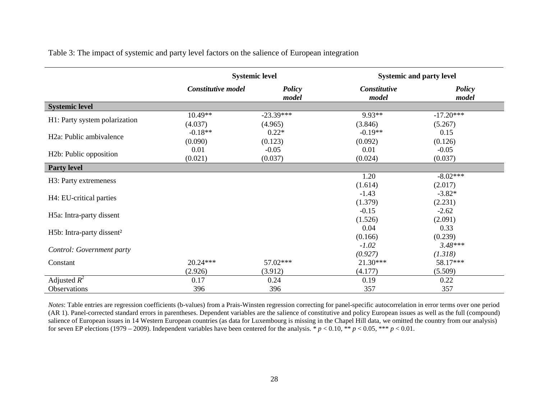|  |  | Table 3: The impact of systemic and party level factors on the salience of European integration |  |  |
|--|--|-------------------------------------------------------------------------------------------------|--|--|
|--|--|-------------------------------------------------------------------------------------------------|--|--|

|                                       | <b>Systemic level</b> |                        | <b>Systemic and party level</b> |                        |
|---------------------------------------|-----------------------|------------------------|---------------------------------|------------------------|
|                                       | Constitutive model    | <b>Policy</b><br>model | Constitutive<br>model           | <b>Policy</b><br>model |
| <b>Systemic level</b>                 |                       |                        |                                 |                        |
|                                       | 10.49**               | $-23.39***$            | 9.93**                          | $-17.20***$            |
| H1: Party system polarization         | (4.037)               | (4.965)                | (3.846)                         | (5.267)                |
| H <sub>2</sub> a: Public ambivalence  | $-0.18**$             | $0.22*$                | $-0.19**$                       | 0.15                   |
|                                       | (0.090)               | (0.123)                | (0.092)                         | (0.126)                |
|                                       | 0.01                  | $-0.05$                | 0.01                            | $-0.05$                |
| H <sub>2</sub> b: Public opposition   | (0.021)               | (0.037)                | (0.024)                         | (0.037)                |
| <b>Party level</b>                    |                       |                        |                                 |                        |
| H3: Party extremeness                 |                       |                        | 1.20                            | $-8.02***$             |
|                                       |                       |                        | (1.614)                         | (2.017)                |
| H4: EU-critical parties               |                       |                        | $-1.43$                         | $-3.82*$               |
|                                       |                       |                        | (1.379)                         | (2.231)                |
| H5a: Intra-party dissent              |                       |                        | $-0.15$                         | $-2.62$                |
|                                       |                       |                        | (1.526)                         | (2.091)                |
| H5b: Intra-party dissent <sup>2</sup> |                       |                        | 0.04                            | 0.33                   |
|                                       |                       |                        | (0.166)                         | (0.239)                |
| Control: Government party             |                       |                        | $-1.02$                         | $3.48***$              |
|                                       |                       |                        | (0.927)                         | (1.318)                |
| Constant                              | $20.24***$            | 57.02***               | $21.30***$                      | 58.17***               |
|                                       | (2.926)               | (3.912)                | (4.177)                         | (5.509)                |
| Adjusted $R^2$                        | 0.17                  | 0.24                   | 0.19                            | 0.22                   |
| Observations                          | 396                   | 396                    | 357                             | 357                    |

*Notes*: Table entries are regression coefficients (b-values) from a Prais-Winsten regression correcting for panel-specific autocorrelation in error terms over one period (AR 1). Panel-corrected standard errors in parentheses. Dependent variables are the salience of constitutive and policy European issues as well as the full (compound) salience of European issues in 14 Western European countries (as data for Luxembourg is missing in the Chapel Hill data, we omitted the country from our analysis) for seven EP elections (1979 – 2009). Independent variables have been centered for the analysis.  $* p < 0.10$ ,  $* p < 0.05$ ,  $** p < 0.01$ .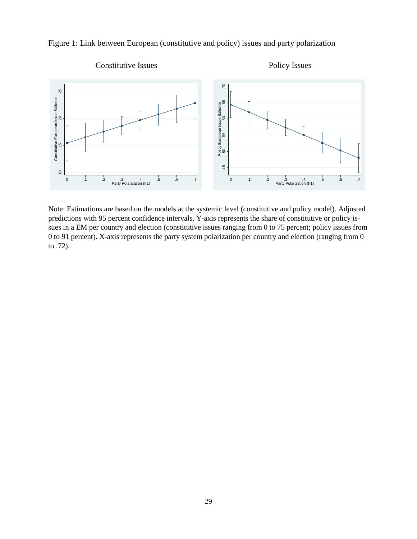

Figure 1: Link between European (constitutive and policy) issues and party polarization

Note: Estimations are based on the models at the systemic level (constitutive and policy model). Adjusted predictions with 95 percent confidence intervals. Y-axis represents the share of constitutive or policy issues in a EM per country and election (constitutive issues ranging from 0 to 75 percent; policy issues from 0 to 91 percent). X-axis represents the party system polarization per country and election (ranging from 0 to  $.72$ ).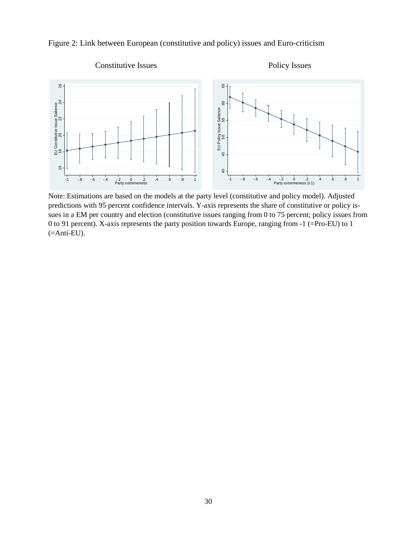



Note: Estimations are based on the models at the party level (constitutive and policy model). Adjusted predictions with 95 percent confidence intervals. Y-axis represents the share of constitutive or policy issues in a EM per country and election (constitutive issues ranging from 0 to 75 percent; policy issues from 0 to 91 percent). X-axis represents the party position towards Europe, ranging from -1 (=Pro-EU) to 1